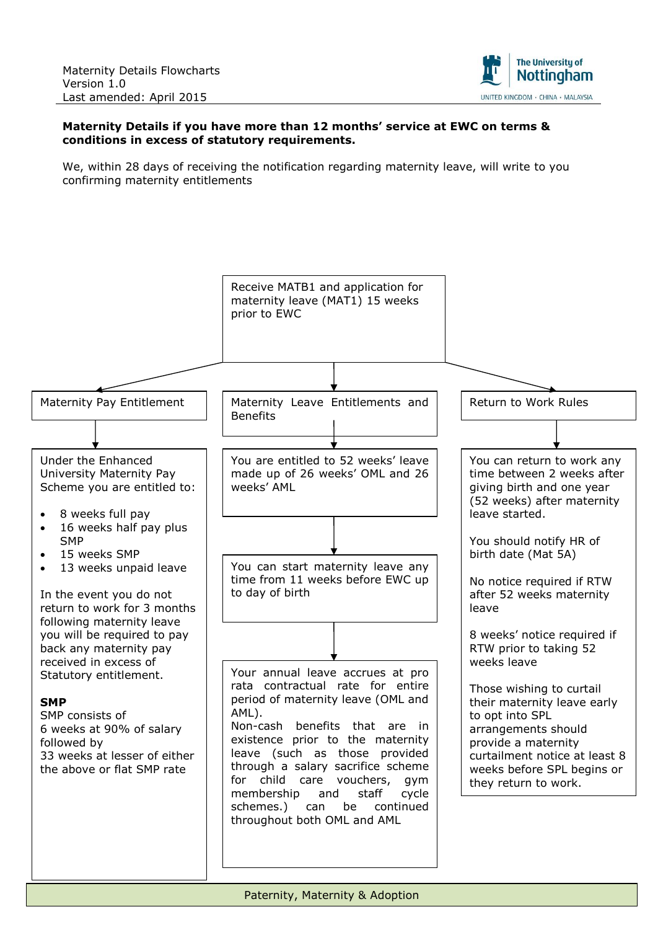

## **Maternity Details if you have more than 12 months' service at EWC on terms & conditions in excess of statutory requirements.**

We, within 28 days of receiving the notification regarding maternity leave, will write to you confirming maternity entitlements